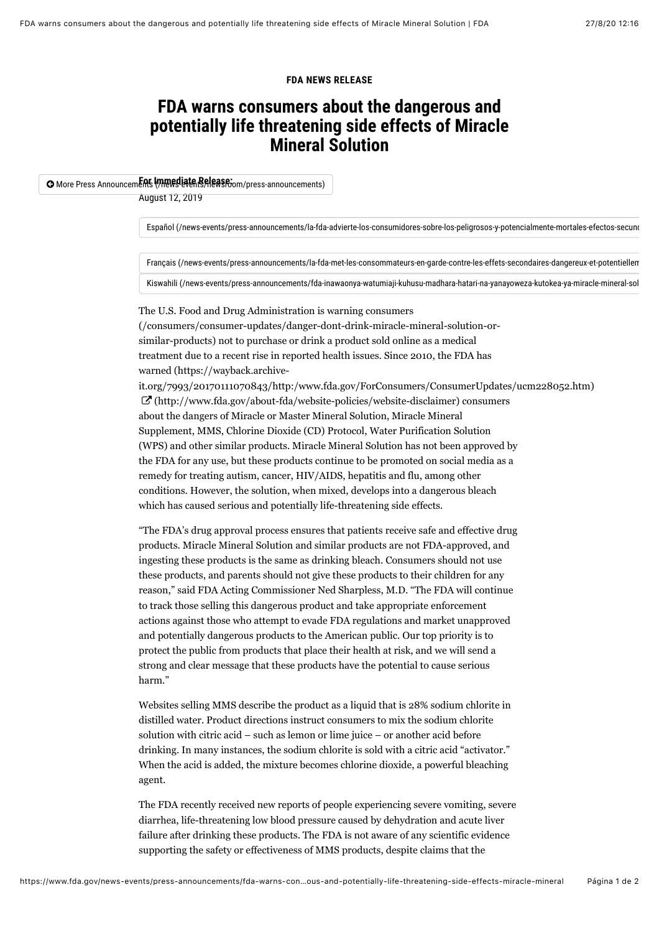#### **FDA NEWS RELEASE**

## **FDA warns consumers about the dangerous and potentially life threatening side effects of Miracle Mineral Solution**

### **O** More Press Announcements (*menediate Release*: mm/press-announcements)

August 12, 2019

[Español \(/news-events/press-announcements/la-fda-advierte-los-consumidores-sobre-los-peligrosos-y-potencialmente-mortales-efectos-secund](https://www.fda.gov/news-events/press-announcements/la-fda-advierte-los-consumidores-sobre-los-peligrosos-y-potencialmente-mortales-efectos-secundarios)arios)

[Français \(/news-events/press-announcements/la-fda-met-les-consommateurs-en-garde-contre-les-effets-secondaires-dangereux-et-potentiellem](https://www.fda.gov/news-events/press-announcements/la-fda-met-les-consommateurs-en-garde-contre-les-effets-secondaires-dangereux-et-potentiellement)

[Kiswahili \(/news-events/press-announcements/fda-inawaonya-watumiaji-kuhusu-madhara-hatari-na-yanayoweza-kutokea-ya-miracle-mineral-sol](https://www.fda.gov/news-events/press-announcements/fda-inawaonya-watumiaji-kuhusu-madhara-hatari-na-yanayoweza-kutokea-ya-miracle-mineral-solution)

The U.S. Food and Drug Administration is warning consumers [\(/consumers/consumer-updates/danger-dont-drink-miracle-mineral-solution-or](https://www.fda.gov/consumers/consumer-updates/danger-dont-drink-miracle-mineral-solution-or-similar-products)similar-products) not to purchase or drink a product sold online as a medical treatment due to a recent rise in reported health issues. Since 2010, the FDA has warned (https://wayback.archive-

[it.org/7993/20170111070843/http:/www.fda.gov/ForConsumers/ConsumerUpdates/ucm228052.htm\)](https://wayback.archive-it.org/7993/20170111070843/http:/www.fda.gov/ForConsumers/ConsumerUpdates/ucm228052.htm)  $\mathbb{Z}$  [\(http://www.fda.gov/about-fda/website-policies/website-disclaimer\)](http://www.fda.gov/about-fda/website-policies/website-disclaimer) consumers about the dangers of Miracle or Master Mineral Solution, Miracle Mineral Supplement, MMS, Chlorine Dioxide (CD) Protocol, Water Purification Solution (WPS) and other similar products. Miracle Mineral Solution has not been approved by the FDA for any use, but these products continue to be promoted on social media as a remedy for treating autism, cancer, HIV/AIDS, hepatitis and flu, among other conditions. However, the solution, when mixed, develops into a dangerous bleach which has caused serious and potentially life-threatening side effects.

"The FDA's drug approval process ensures that patients receive safe and effective drug products. Miracle Mineral Solution and similar products are not FDA-approved, and ingesting these products is the same as drinking bleach. Consumers should not use these products, and parents should not give these products to their children for any reason," said FDA Acting Commissioner Ned Sharpless, M.D. "The FDA will continue to track those selling this dangerous product and take appropriate enforcement actions against those who attempt to evade FDA regulations and market unapproved and potentially dangerous products to the American public. Our top priority is to protect the public from products that place their health at risk, and we will send a strong and clear message that these products have the potential to cause serious harm."

Websites selling MMS describe the product as a liquid that is 28% sodium chlorite in distilled water. Product directions instruct consumers to mix the sodium chlorite solution with citric acid – such as lemon or lime juice – or another acid before drinking. In many instances, the sodium chlorite is sold with a citric acid "activator." When the acid is added, the mixture becomes chlorine dioxide, a powerful bleaching agent.

The FDA recently received new reports of people experiencing severe vomiting, severe diarrhea, life-threatening low blood pressure caused by dehydration and acute liver failure after drinking these products. The FDA is not aware of any scientific evidence supporting the safety or effectiveness of MMS products, despite claims that the